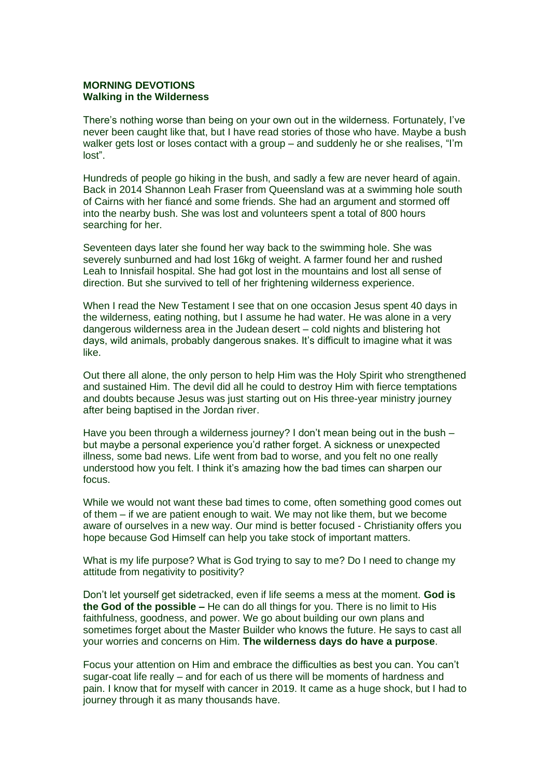## **MORNING DEVOTIONS Walking in the Wilderness**

There's nothing worse than being on your own out in the wilderness. Fortunately, I've never been caught like that, but I have read stories of those who have. Maybe a bush walker gets lost or loses contact with a group – and suddenly he or she realises, "I'm lost".

Hundreds of people go hiking in the bush, and sadly a few are never heard of again. Back in 2014 Shannon Leah Fraser from Queensland was at a swimming hole south of Cairns with her fiancé and some friends. She had an argument and stormed off into the nearby bush. She was lost and volunteers spent a total of 800 hours searching for her.

Seventeen days later she found her way back to the swimming hole. She was severely sunburned and had lost 16kg of weight. A farmer found her and rushed Leah to Innisfail hospital. She had got lost in the mountains and lost all sense of direction. But she survived to tell of her frightening wilderness experience.

When I read the New Testament I see that on one occasion Jesus spent 40 days in the wilderness, eating nothing, but I assume he had water. He was alone in a very dangerous wilderness area in the Judean desert – cold nights and blistering hot days, wild animals, probably dangerous snakes. It's difficult to imagine what it was like.

Out there all alone, the only person to help Him was the Holy Spirit who strengthened and sustained Him. The devil did all he could to destroy Him with fierce temptations and doubts because Jesus was just starting out on His three-year ministry journey after being baptised in the Jordan river.

Have you been through a wilderness journey? I don't mean being out in the bush – but maybe a personal experience you'd rather forget. A sickness or unexpected illness, some bad news. Life went from bad to worse, and you felt no one really understood how you felt. I think it's amazing how the bad times can sharpen our focus.

While we would not want these bad times to come, often something good comes out of them – if we are patient enough to wait. We may not like them, but we become aware of ourselves in a new way. Our mind is better focused - Christianity offers you hope because God Himself can help you take stock of important matters.

What is my life purpose? What is God trying to say to me? Do I need to change my attitude from negativity to positivity?

Don't let yourself get sidetracked, even if life seems a mess at the moment. **God is the God of the possible –** He can do all things for you. There is no limit to His faithfulness, goodness, and power. We go about building our own plans and sometimes forget about the Master Builder who knows the future. He says to cast all your worries and concerns on Him. **The wilderness days do have a purpose**.

Focus your attention on Him and embrace the difficulties as best you can. You can't sugar-coat life really – and for each of us there will be moments of hardness and pain. I know that for myself with cancer in 2019. It came as a huge shock, but I had to journey through it as many thousands have.